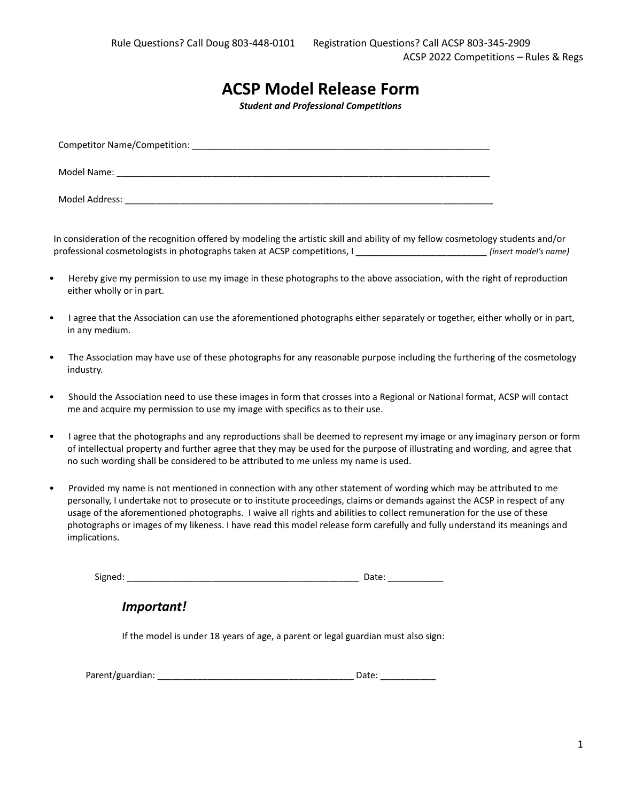# **ACSP Model Release Form**

*Student and Professional Competitions*

| <b>Competitor Name/Competition:</b> |
|-------------------------------------|
| Model Name:                         |
| Model Address:                      |

In consideration of the recognition offered by modeling the artistic skill and ability of my fellow cosmetology students and/or professional cosmetologists in photographs taken at ACSP competitions, I \_\_\_\_\_\_\_\_\_\_\_\_\_\_\_\_\_\_\_\_\_\_\_\_\_\_ *(insert model's name)*

- Hereby give my permission to use my image in these photographs to the above association, with the right of reproduction either wholly or in part.
- I agree that the Association can use the aforementioned photographs either separately or together, either wholly or in part, in any medium.
- The Association may have use of these photographs for any reasonable purpose including the furthering of the cosmetology industry.
- Should the Association need to use these images in form that crosses into a Regional or National format, ACSP will contact me and acquire my permission to use my image with specifics as to their use.
- I agree that the photographs and any reproductions shall be deemed to represent my image or any imaginary person or form of intellectual property and further agree that they may be used for the purpose of illustrating and wording, and agree that no such wording shall be considered to be attributed to me unless my name is used.
- Provided my name is not mentioned in connection with any other statement of wording which may be attributed to me personally, I undertake not to prosecute or to institute proceedings, claims or demands against the ACSP in respect of any usage of the aforementioned photographs. I waive all rights and abilities to collect remuneration for the use of these photographs or images of my likeness. I have read this model release form carefully and fully understand its meanings and implications.

Signed: \_\_\_\_\_\_\_\_\_\_\_\_\_\_\_\_\_\_\_\_\_\_\_\_\_\_\_\_\_\_\_\_\_\_\_\_\_\_\_\_\_\_\_\_\_\_ Date: \_\_\_\_\_\_\_\_\_\_\_

*Important!*

If the model is under 18 years of age, a parent or legal guardian must also sign:

| Parent/guardian: |  |
|------------------|--|
|------------------|--|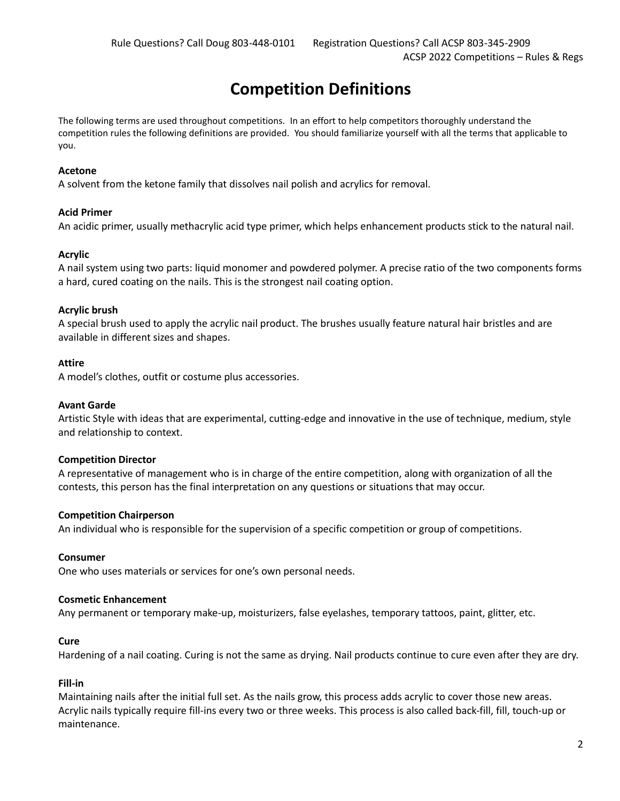# **Competition Definitions**

The following terms are used throughout competitions. In an effort to help competitors thoroughly understand the competition rules the following definitions are provided. You should familiarize yourself with all the terms that applicable to you.

#### **Acetone**

A solvent from the ketone family that dissolves nail polish and acrylics for removal.

#### **Acid Primer**

An acidic primer, usually methacrylic acid type primer, which helps enhancement products stick to the natural nail.

#### **Acrylic**

A nail system using two parts: liquid monomer and powdered polymer. A precise ratio of the two components forms a hard, cured coating on the nails. This is the strongest nail coating option.

#### **Acrylic brush**

A special brush used to apply the acrylic nail product. The brushes usually feature natural hair bristles and are available in different sizes and shapes.

#### **Attire**

A model's clothes, outfit or costume plus accessories.

#### **Avant Garde**

Artistic Style with ideas that are experimental, cutting-edge and innovative in the use of technique, medium, style and relationship to context.

#### **Competition Director**

A representative of management who is in charge of the entire competition, along with organization of all the contests, this person has the final interpretation on any questions or situations that may occur.

#### **Competition Chairperson**

An individual who is responsible for the supervision of a specific competition or group of competitions.

#### **Consumer**

One who uses materials or services for one's own personal needs.

#### **Cosmetic Enhancement**

Any permanent or temporary make-up, moisturizers, false eyelashes, temporary tattoos, paint, glitter, etc.

#### **Cure**

Hardening of a nail coating. Curing is not the same as drying. Nail products continue to cure even after they are dry.

#### **Fill-in**

Maintaining nails after the initial full set. As the nails grow, this process adds acrylic to cover those new areas. Acrylic nails typically require fill-ins every two or three weeks. This process is also called back-fill, fill, touch-up or maintenance.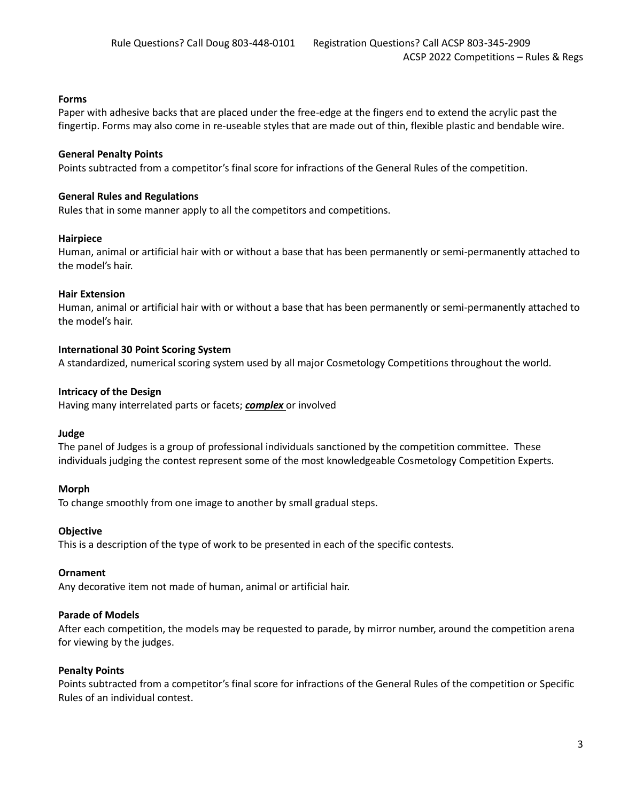## **Forms**

Paper with adhesive backs that are placed under the free-edge at the fingers end to extend the acrylic past the fingertip. Forms may also come in re-useable styles that are made out of thin, flexible plastic and bendable wire.

## **General Penalty Points**

Points subtracted from a competitor's final score for infractions of the General Rules of the competition.

### **General Rules and Regulations**

Rules that in some manner apply to all the competitors and competitions.

#### **Hairpiece**

Human, animal or artificial hair with or without a base that has been permanently or semi-permanently attached to the model's hair.

#### **Hair Extension**

Human, animal or artificial hair with or without a base that has been permanently or semi-permanently attached to the model's hair.

## **International 30 Point Scoring System**

A standardized, numerical scoring system used by all major Cosmetology Competitions throughout the world.

#### **Intricacy of the Design**

Having many interrelated parts or facets; *complex* or involved

## **Judge**

The panel of Judges is a group of professional individuals sanctioned by the competition committee. These individuals judging the contest represent some of the most knowledgeable Cosmetology Competition Experts.

## **Morph**

To change smoothly from one image to another by small gradual steps.

#### **Objective**

This is a description of the type of work to be presented in each of the specific contests.

#### **Ornament**

Any decorative item not made of human, animal or artificial hair.

## **Parade of Models**

After each competition, the models may be requested to parade, by mirror number, around the competition arena for viewing by the judges.

## **Penalty Points**

Points subtracted from a competitor's final score for infractions of the General Rules of the competition or Specific Rules of an individual contest.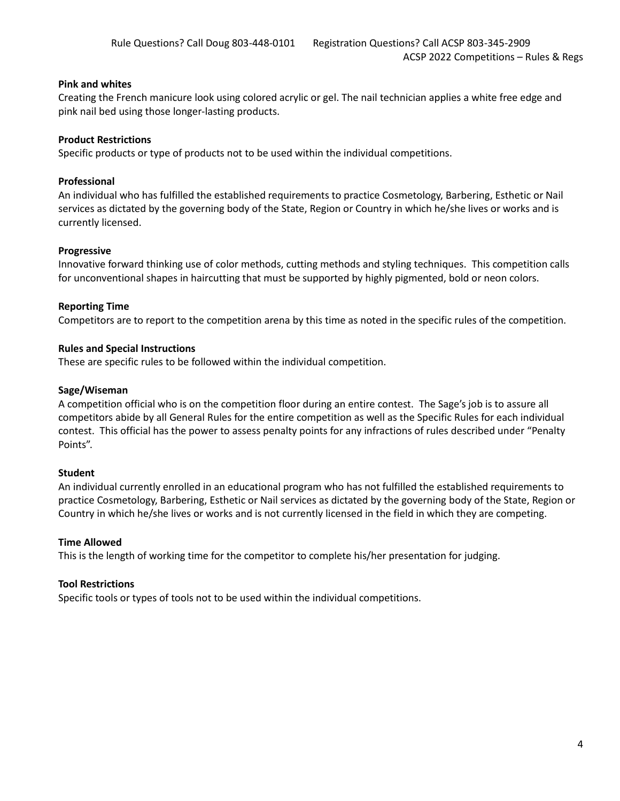## **Pink and whites**

Creating the French manicure look using colored acrylic or gel. The nail technician applies a white free edge and pink nail bed using those longer-lasting products.

### **Product Restrictions**

Specific products or type of products not to be used within the individual competitions.

### **Professional**

An individual who has fulfilled the established requirements to practice Cosmetology, Barbering, Esthetic or Nail services as dictated by the governing body of the State, Region or Country in which he/she lives or works and is currently licensed.

#### **Progressive**

Innovative forward thinking use of color methods, cutting methods and styling techniques. This competition calls for unconventional shapes in haircutting that must be supported by highly pigmented, bold or neon colors.

#### **Reporting Time**

Competitors are to report to the competition arena by this time as noted in the specific rules of the competition.

#### **Rules and Special Instructions**

These are specific rules to be followed within the individual competition.

#### **Sage/Wiseman**

A competition official who is on the competition floor during an entire contest. The Sage's job is to assure all competitors abide by all General Rules for the entire competition as well as the Specific Rules for each individual contest. This official has the power to assess penalty points for any infractions of rules described under "Penalty Points".

## **Student**

An individual currently enrolled in an educational program who has not fulfilled the established requirements to practice Cosmetology, Barbering, Esthetic or Nail services as dictated by the governing body of the State, Region or Country in which he/she lives or works and is not currently licensed in the field in which they are competing.

#### **Time Allowed**

This is the length of working time for the competitor to complete his/her presentation for judging.

## **Tool Restrictions**

Specific tools or types of tools not to be used within the individual competitions.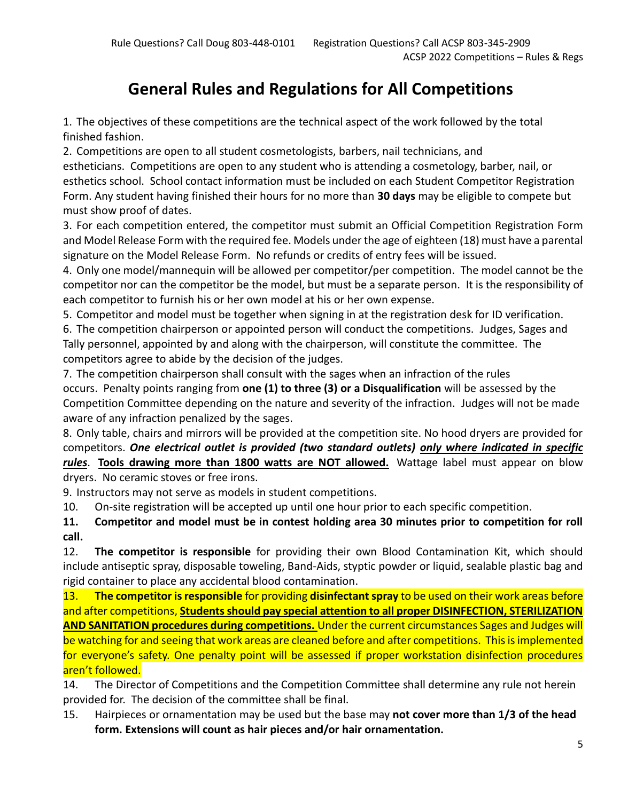# **General Rules and Regulations for All Competitions**

1. The objectives of these competitions are the technical aspect of the work followed by the total finished fashion.

2. Competitions are open to all student cosmetologists, barbers, nail technicians, and

estheticians. Competitions are open to any student who is attending a cosmetology, barber, nail, or esthetics school. School contact information must be included on each Student Competitor Registration Form. Any student having finished their hours for no more than **30 days** may be eligible to compete but must show proof of dates.

3. For each competition entered, the competitor must submit an Official Competition Registration Form and Model Release Form with the required fee. Models under the age of eighteen (18) must have a parental signature on the Model Release Form. No refunds or credits of entry fees will be issued.

4. Only one model/mannequin will be allowed per competitor/per competition. The model cannot be the competitor nor can the competitor be the model, but must be a separate person. It is the responsibility of each competitor to furnish his or her own model at his or her own expense.

5. Competitor and model must be together when signing in at the registration desk for ID verification.

6. The competition chairperson or appointed person will conduct the competitions. Judges, Sages and Tally personnel, appointed by and along with the chairperson, will constitute the committee. The competitors agree to abide by the decision of the judges.

7. The competition chairperson shall consult with the sages when an infraction of the rules occurs. Penalty points ranging from **one (1) to three (3) or a Disqualification** will be assessed by the Competition Committee depending on the nature and severity of the infraction. Judges will not be made aware of any infraction penalized by the sages.

8. Only table, chairs and mirrors will be provided at the competition site. No hood dryers are provided for competitors. *One electrical outlet is provided (two standard outlets) only where indicated in specific rules*. **Tools drawing more than 1800 watts are NOT allowed.** Wattage label must appear on blow dryers. No ceramic stoves or free irons.

9. Instructors may not serve as models in student competitions.

10. On-site registration will be accepted up until one hour prior to each specific competition.

**11. Competitor and model must be in contest holding area 30 minutes prior to competition for roll call.**

12. **The competitor is responsible** for providing their own Blood Contamination Kit, which should include antiseptic spray, disposable toweling, Band-Aids, styptic powder or liquid, sealable plastic bag and rigid container to place any accidental blood contamination.

13. **The competitor is responsible** for providing **disinfectant spray** to be used on their work areas before and after competitions, **Students should pay special attention to all proper DISINFECTION, STERILIZATION AND SANITATION procedures during competitions.** Under the current circumstances Sages and Judges will be watching for and seeing that work areas are cleaned before and after competitions. This is implemented for everyone's safety. One penalty point will be assessed if proper workstation disinfection procedures aren't followed.

14. The Director of Competitions and the Competition Committee shall determine any rule not herein provided for. The decision of the committee shall be final.

15. Hairpieces or ornamentation may be used but the base may **not cover more than 1/3 of the head form. Extensions will count as hair pieces and/or hair ornamentation.**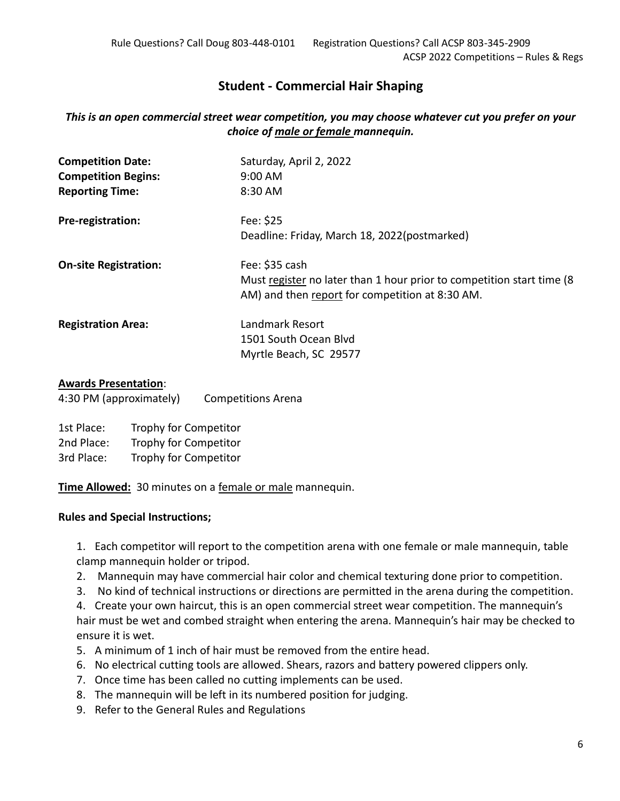# **Student - Commercial Hair Shaping**

# *This is an open commercial street wear competition, you may choose whatever cut you prefer on your choice of male or female mannequin.*

| <b>Competition Date:</b><br><b>Competition Begins:</b><br><b>Reporting Time:</b> | Saturday, April 2, 2022<br>$9:00$ AM<br>8:30 AM                                                                                            |
|----------------------------------------------------------------------------------|--------------------------------------------------------------------------------------------------------------------------------------------|
| Pre-registration:                                                                | Fee: \$25<br>Deadline: Friday, March 18, 2022(postmarked)                                                                                  |
| <b>On-site Registration:</b>                                                     | Fee: \$35 cash<br>Must register no later than 1 hour prior to competition start time (8<br>AM) and then report for competition at 8:30 AM. |
| <b>Registration Area:</b>                                                        | Landmark Resort<br>1501 South Ocean Blyd<br>Myrtle Beach, SC 29577                                                                         |

## **Awards Presentation**:

4:30 PM (approximately) Competitions Arena

| 1st Place: | Trophy for Competitor |
|------------|-----------------------|
| 2nd Place: | Trophy for Competitor |
| 3rd Place: | Trophy for Competitor |

**Time Allowed:** 30 minutes on a female or male mannequin.

## **Rules and Special Instructions;**

1. Each competitor will report to the competition arena with one female or male mannequin, table clamp mannequin holder or tripod.

- 2. Mannequin may have commercial hair color and chemical texturing done prior to competition.
- 3. No kind of technical instructions or directions are permitted in the arena during the competition.

4. Create your own haircut, this is an open commercial street wear competition. The mannequin's hair must be wet and combed straight when entering the arena. Mannequin's hair may be checked to ensure it is wet.

- 5. A minimum of 1 inch of hair must be removed from the entire head.
- 6. No electrical cutting tools are allowed. Shears, razors and battery powered clippers only.
- 7. Once time has been called no cutting implements can be used.
- 8. The mannequin will be left in its numbered position for judging.
- 9. Refer to the General Rules and Regulations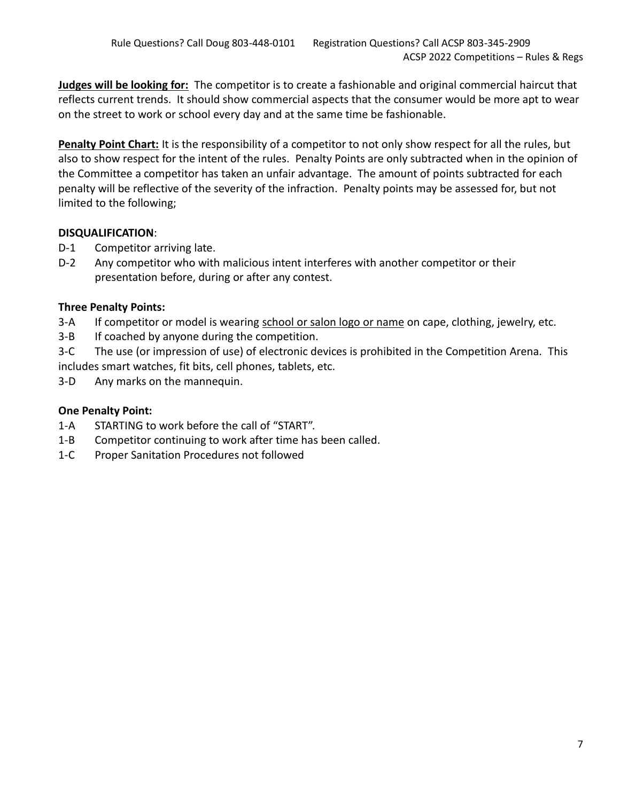**Judges will be looking for:** The competitor is to create a fashionable and original commercial haircut that reflects current trends. It should show commercial aspects that the consumer would be more apt to wear on the street to work or school every day and at the same time be fashionable.

**Penalty Point Chart:** It is the responsibility of a competitor to not only show respect for all the rules, but also to show respect for the intent of the rules. Penalty Points are only subtracted when in the opinion of the Committee a competitor has taken an unfair advantage. The amount of points subtracted for each penalty will be reflective of the severity of the infraction. Penalty points may be assessed for, but not limited to the following;

# **DISQUALIFICATION**:

D-1 Competitor arriving late.

D-2 Any competitor who with malicious intent interferes with another competitor or their presentation before, during or after any contest.

# **Three Penalty Points:**

- 3-A If competitor or model is wearing school or salon logo or name on cape, clothing, jewelry, etc.
- 3-B If coached by anyone during the competition.

3-C The use (or impression of use) of electronic devices is prohibited in the Competition Arena. This includes smart watches, fit bits, cell phones, tablets, etc.

3-D Any marks on the mannequin.

- 1-A STARTING to work before the call of "START".
- 1-B Competitor continuing to work after time has been called.
- 1-C Proper Sanitation Procedures not followed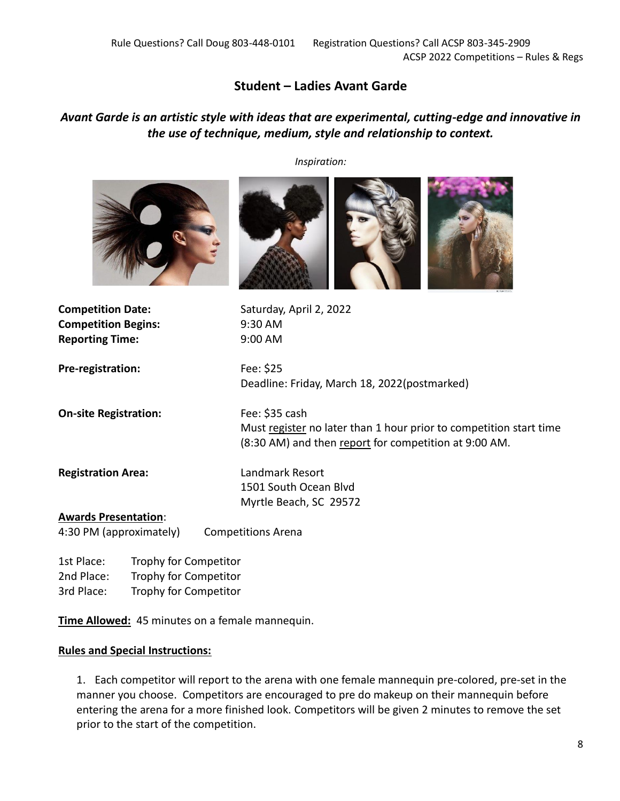# **Student – Ladies Avant Garde**

# *Avant Garde is an artistic style with ideas that are experimental, cutting-edge and innovative in the use of technique, medium, style and relationship to context.*

*Inspiration:*



**Competition Begins:** 9:30 AM **Reporting Time:** 9:00 AM

**Competition Date:** Saturday, April 2, 2022

**Pre-registration:** Fee: \$25

Deadline: Friday, March 18, 2022(postmarked)

**On-site Registration:** Fee: \$35 cash

Must register no later than 1 hour prior to competition start time (8:30 AM) and then report for competition at 9:00 AM.

**Registration Area:** Landmark Resort 1501 South Ocean Blvd Myrtle Beach, SC 29572

#### **Awards Presentation**:

4:30 PM (approximately) Competitions Arena

1st Place: Trophy for Competitor 2nd Place: Trophy for Competitor 3rd Place: Trophy for Competitor

**Time Allowed:** 45 minutes on a female mannequin.

## **Rules and Special Instructions:**

1. Each competitor will report to the arena with one female mannequin pre-colored, pre-set in the manner you choose. Competitors are encouraged to pre do makeup on their mannequin before entering the arena for a more finished look. Competitors will be given 2 minutes to remove the set prior to the start of the competition.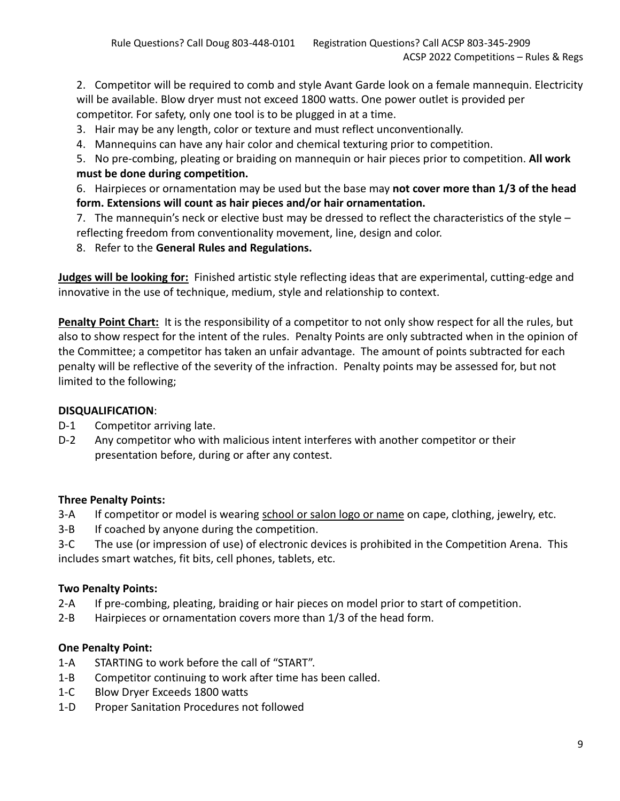2. Competitor will be required to comb and style Avant Garde look on a female mannequin. Electricity will be available. Blow dryer must not exceed 1800 watts. One power outlet is provided per competitor. For safety, only one tool is to be plugged in at a time.

- 3. Hair may be any length, color or texture and must reflect unconventionally.
- 4. Mannequins can have any hair color and chemical texturing prior to competition.
- 5. No pre-combing, pleating or braiding on mannequin or hair pieces prior to competition. **All work must be done during competition.**

6. Hairpieces or ornamentation may be used but the base may **not cover more than 1/3 of the head form. Extensions will count as hair pieces and/or hair ornamentation.**

7. The mannequin's neck or elective bust may be dressed to reflect the characteristics of the style – reflecting freedom from conventionality movement, line, design and color.

8. Refer to the **General Rules and Regulations.**

**Judges will be looking for:** Finished artistic style reflecting ideas that are experimental, cutting-edge and innovative in the use of technique, medium, style and relationship to context.

**Penalty Point Chart:** It is the responsibility of a competitor to not only show respect for all the rules, but also to show respect for the intent of the rules. Penalty Points are only subtracted when in the opinion of the Committee; a competitor has taken an unfair advantage. The amount of points subtracted for each penalty will be reflective of the severity of the infraction. Penalty points may be assessed for, but not limited to the following;

# **DISQUALIFICATION**:

- D-1 Competitor arriving late.
- D-2 Any competitor who with malicious intent interferes with another competitor or their presentation before, during or after any contest.

# **Three Penalty Points:**

- 3-A If competitor or model is wearing school or salon logo or name on cape, clothing, jewelry, etc.
- 3-B If coached by anyone during the competition.

3-C The use (or impression of use) of electronic devices is prohibited in the Competition Arena. This includes smart watches, fit bits, cell phones, tablets, etc.

# **Two Penalty Points:**

- 2-A If pre-combing, pleating, braiding or hair pieces on model prior to start of competition.
- 2-B Hairpieces or ornamentation covers more than 1/3 of the head form.

- 1-A STARTING to work before the call of "START".
- 1-B Competitor continuing to work after time has been called.
- 1-C Blow Dryer Exceeds 1800 watts
- 1-D Proper Sanitation Procedures not followed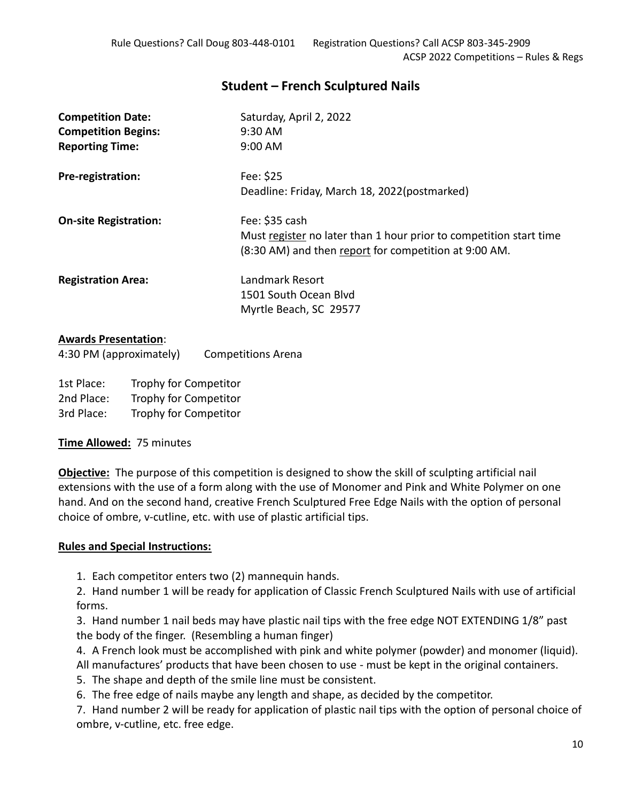# **Student – French Sculptured Nails**

| <b>Competition Date:</b>     | Saturday, April 2, 2022                                            |
|------------------------------|--------------------------------------------------------------------|
| <b>Competition Begins:</b>   | 9:30 AM                                                            |
| <b>Reporting Time:</b>       | $9:00$ AM                                                          |
| Pre-registration:            | Fee: \$25                                                          |
|                              | Deadline: Friday, March 18, 2022(postmarked)                       |
| <b>On-site Registration:</b> | Fee: \$35 cash                                                     |
|                              | Must register no later than 1 hour prior to competition start time |
|                              | (8:30 AM) and then report for competition at 9:00 AM.              |
| <b>Registration Area:</b>    | Landmark Resort                                                    |
|                              | 1501 South Ocean Blyd                                              |
|                              | Myrtle Beach, SC 29577                                             |
|                              |                                                                    |

## **Awards Presentation**:

4:30 PM (approximately) Competitions Arena

1st Place: Trophy for Competitor 2nd Place: Trophy for Competitor 3rd Place: Trophy for Competitor

## **Time Allowed:** 75 minutes

**Objective:** The purpose of this competition is designed to show the skill of sculpting artificial nail extensions with the use of a form along with the use of Monomer and Pink and White Polymer on one hand. And on the second hand, creative French Sculptured Free Edge Nails with the option of personal choice of ombre, v-cutline, etc. with use of plastic artificial tips.

## **Rules and Special Instructions:**

1. Each competitor enters two (2) mannequin hands.

2. Hand number 1 will be ready for application of Classic French Sculptured Nails with use of artificial forms.

3. Hand number 1 nail beds may have plastic nail tips with the free edge NOT EXTENDING 1/8" past the body of the finger. (Resembling a human finger)

- 4. A French look must be accomplished with pink and white polymer (powder) and monomer (liquid). All manufactures' products that have been chosen to use - must be kept in the original containers.
- 5. The shape and depth of the smile line must be consistent.
- 6. The free edge of nails maybe any length and shape, as decided by the competitor.

7. Hand number 2 will be ready for application of plastic nail tips with the option of personal choice of ombre, v-cutline, etc. free edge.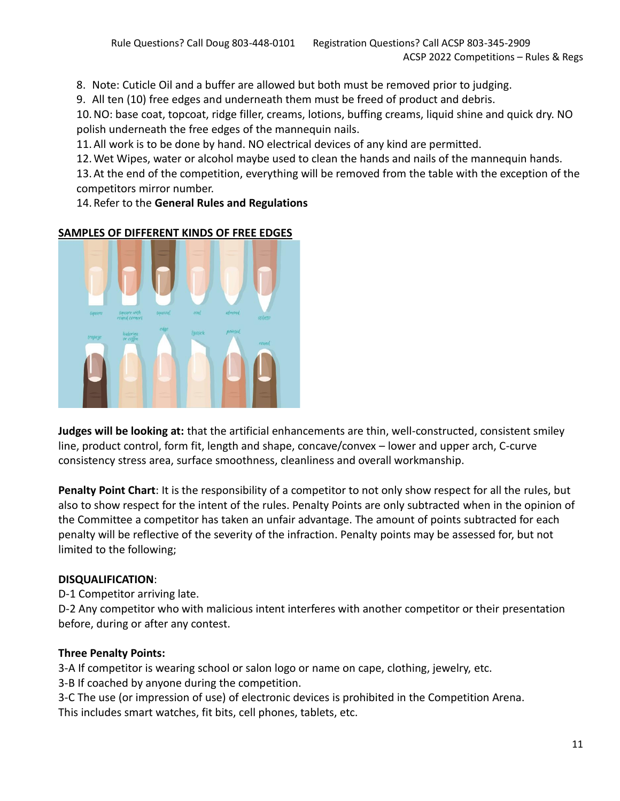8. Note: Cuticle Oil and a buffer are allowed but both must be removed prior to judging.

9. All ten (10) free edges and underneath them must be freed of product and debris.

10.NO: base coat, topcoat, ridge filler, creams, lotions, buffing creams, liquid shine and quick dry. NO polish underneath the free edges of the mannequin nails.

11.All work is to be done by hand. NO electrical devices of any kind are permitted.

12.Wet Wipes, water or alcohol maybe used to clean the hands and nails of the mannequin hands.

13.At the end of the competition, everything will be removed from the table with the exception of the competitors mirror number.

14.Refer to the **General Rules and Regulations**



## **SAMPLES OF DIFFERENT KINDS OF FREE EDGES**

**Judges will be looking at:** that the artificial enhancements are thin, well-constructed, consistent smiley line, product control, form fit, length and shape, concave/convex – lower and upper arch, C-curve consistency stress area, surface smoothness, cleanliness and overall workmanship.

**Penalty Point Chart**: It is the responsibility of a competitor to not only show respect for all the rules, but also to show respect for the intent of the rules. Penalty Points are only subtracted when in the opinion of the Committee a competitor has taken an unfair advantage. The amount of points subtracted for each penalty will be reflective of the severity of the infraction. Penalty points may be assessed for, but not limited to the following;

## **DISQUALIFICATION**:

D-1 Competitor arriving late.

D-2 Any competitor who with malicious intent interferes with another competitor or their presentation before, during or after any contest.

# **Three Penalty Points:**

3-A If competitor is wearing school or salon logo or name on cape, clothing, jewelry, etc. 3-B If coached by anyone during the competition.

3-C The use (or impression of use) of electronic devices is prohibited in the Competition Arena. This includes smart watches, fit bits, cell phones, tablets, etc.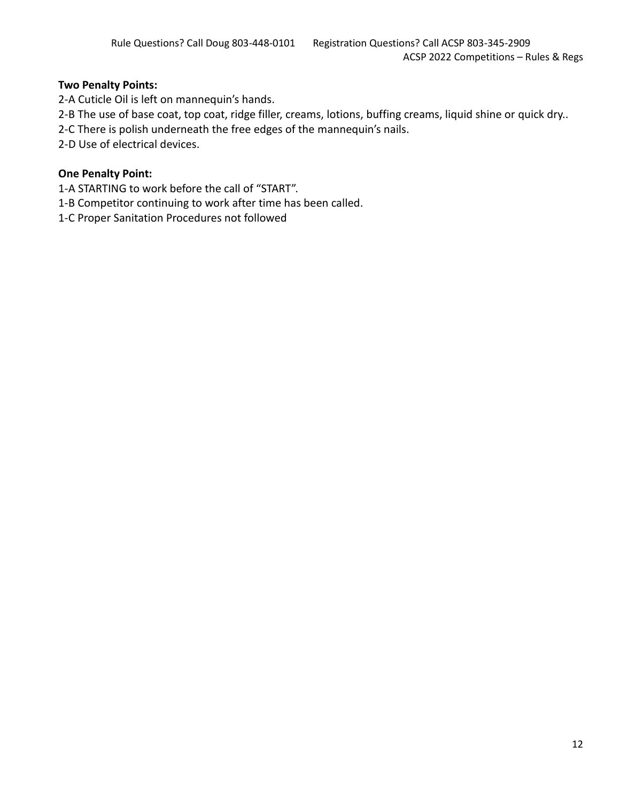## **Two Penalty Points:**

2-A Cuticle Oil is left on mannequin's hands.

- 2-B The use of base coat, top coat, ridge filler, creams, lotions, buffing creams, liquid shine or quick dry..
- 2-C There is polish underneath the free edges of the mannequin's nails.
- 2-D Use of electrical devices.

- 1-A STARTING to work before the call of "START".
- 1-B Competitor continuing to work after time has been called.
- 1-C Proper Sanitation Procedures not followed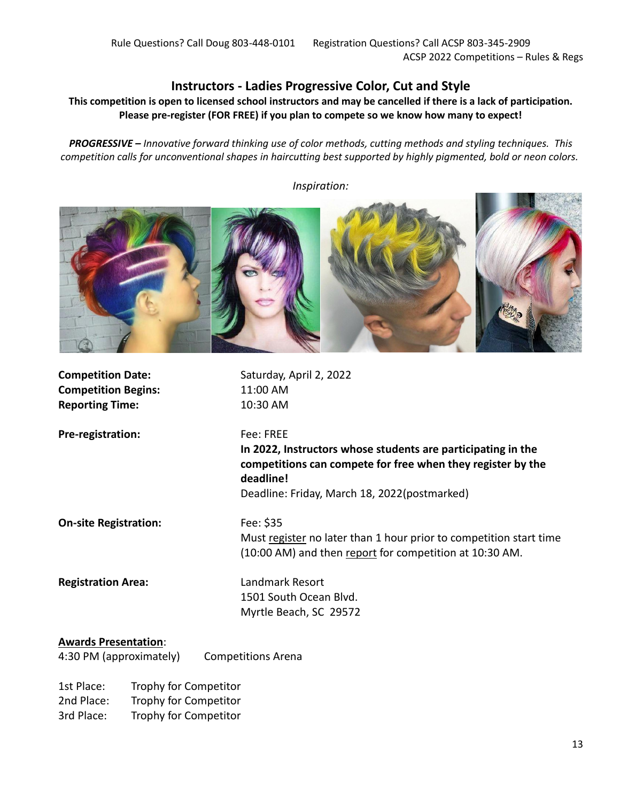# **Instructors - Ladies Progressive Color, Cut and Style**

**This competition is open to licensed school instructors and may be cancelled if there is a lack of participation. Please pre-register (FOR FREE) if you plan to compete so we know how many to expect!**

*PROGRESSIVE – Innovative forward thinking use of color methods, cutting methods and styling techniques. This competition calls for unconventional shapes in haircutting best supported by highly pigmented, bold or neon colors.*



**Competition Date:** Saturday, April 2, 2022 **Competition Begins:** 11:00 AM **Reporting Time:** 10:30 AM **Pre-registration:** Fee: FREE **In 2022, Instructors whose students are participating in the competitions can compete for free when they register by the deadline!** Deadline: Friday, March 18, 2022(postmarked) **On-site Registration:** Fee: \$35 Must register no later than 1 hour prior to competition start time (10:00 AM) and then report for competition at 10:30 AM. **Registration Area:** Landmark Resort 1501 South Ocean Blvd. Myrtle Beach, SC 29572 **Awards Presentation**: 4:30 PM (approximately) Competitions Arena 1st Place: Trophy for Competitor

2nd Place: Trophy for Competitor 3rd Place: Trophy for Competitor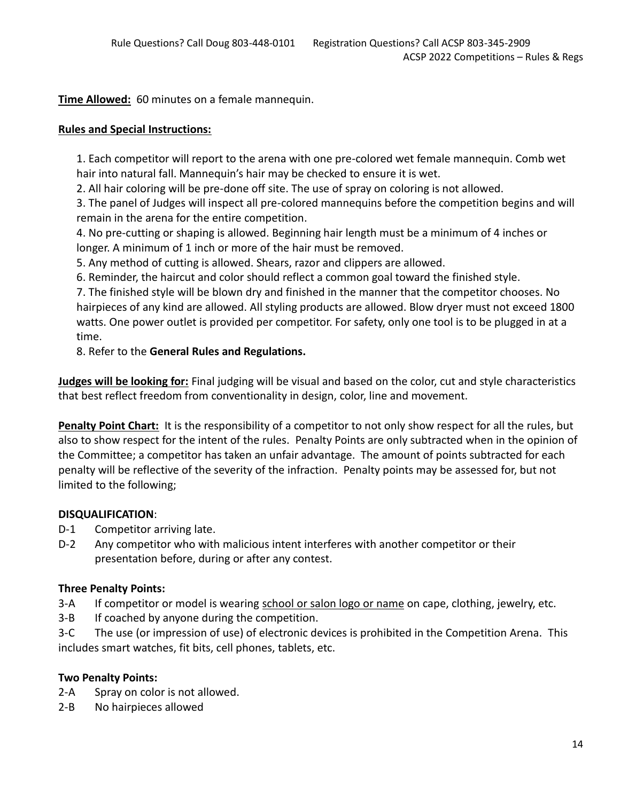**Time Allowed:** 60 minutes on a female mannequin.

## **Rules and Special Instructions:**

1. Each competitor will report to the arena with one pre-colored wet female mannequin. Comb wet hair into natural fall. Mannequin's hair may be checked to ensure it is wet.

2. All hair coloring will be pre-done off site. The use of spray on coloring is not allowed.

3. The panel of Judges will inspect all pre-colored mannequins before the competition begins and will remain in the arena for the entire competition.

4. No pre-cutting or shaping is allowed. Beginning hair length must be a minimum of 4 inches or longer. A minimum of 1 inch or more of the hair must be removed.

5. Any method of cutting is allowed. Shears, razor and clippers are allowed.

6. Reminder, the haircut and color should reflect a common goal toward the finished style.

7. The finished style will be blown dry and finished in the manner that the competitor chooses. No hairpieces of any kind are allowed. All styling products are allowed. Blow dryer must not exceed 1800 watts. One power outlet is provided per competitor. For safety, only one tool is to be plugged in at a time.

8. Refer to the **General Rules and Regulations.**

**Judges will be looking for:** Final judging will be visual and based on the color, cut and style characteristics that best reflect freedom from conventionality in design, color, line and movement.

**Penalty Point Chart:** It is the responsibility of a competitor to not only show respect for all the rules, but also to show respect for the intent of the rules. Penalty Points are only subtracted when in the opinion of the Committee; a competitor has taken an unfair advantage. The amount of points subtracted for each penalty will be reflective of the severity of the infraction. Penalty points may be assessed for, but not limited to the following;

## **DISQUALIFICATION**:

- D-1 Competitor arriving late.
- D-2 Any competitor who with malicious intent interferes with another competitor or their presentation before, during or after any contest.

## **Three Penalty Points:**

- 3-A If competitor or model is wearing school or salon logo or name on cape, clothing, jewelry, etc.
- 3-B If coached by anyone during the competition.
- 3-C The use (or impression of use) of electronic devices is prohibited in the Competition Arena. This includes smart watches, fit bits, cell phones, tablets, etc.

## **Two Penalty Points:**

- 2-A Spray on color is not allowed.
- 2-B No hairpieces allowed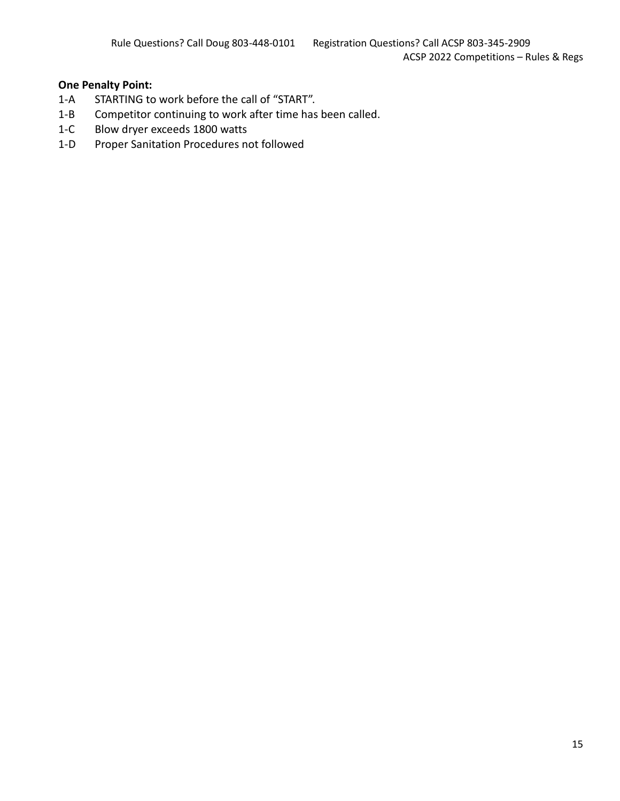- 1-A STARTING to work before the call of "START".
- 1-B Competitor continuing to work after time has been called.
- 1-C Blow dryer exceeds 1800 watts
- 1-D Proper Sanitation Procedures not followed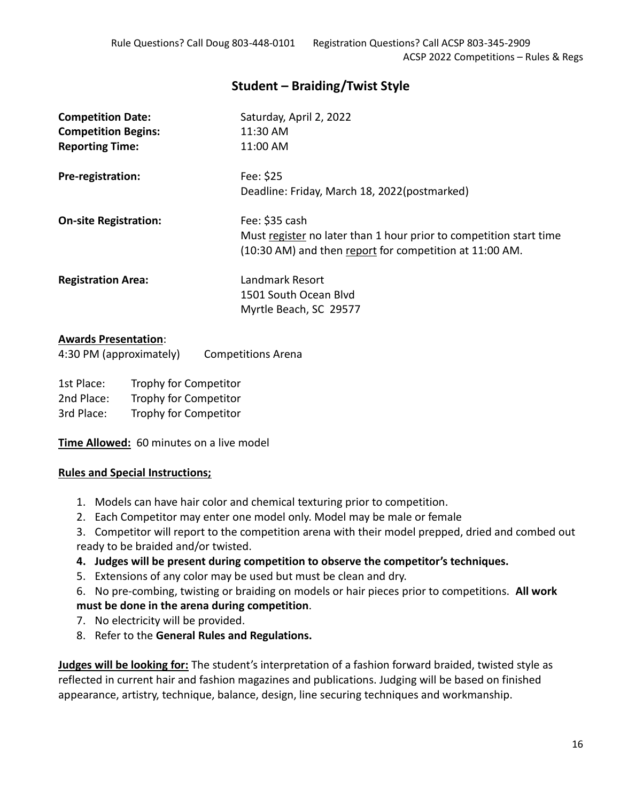# **Student – Braiding/Twist Style**

| <b>Competition Date:</b><br><b>Competition Begins:</b> | Saturday, April 2, 2022<br>11:30 AM<br>11:00 AM                                                                                                 |
|--------------------------------------------------------|-------------------------------------------------------------------------------------------------------------------------------------------------|
| <b>Reporting Time:</b>                                 |                                                                                                                                                 |
| Pre-registration:                                      | Fee: \$25<br>Deadline: Friday, March 18, 2022(postmarked)                                                                                       |
| <b>On-site Registration:</b>                           | Fee: \$35 cash<br>Must register no later than 1 hour prior to competition start time<br>(10:30 AM) and then report for competition at 11:00 AM. |
| <b>Registration Area:</b>                              | Landmark Resort<br>1501 South Ocean Blyd<br>Myrtle Beach, SC 29577                                                                              |

## **Awards Presentation**:

| 4:30 PM (approximately) | <b>Competitions Arena</b> |
|-------------------------|---------------------------|
|-------------------------|---------------------------|

1st Place: Trophy for Competitor 2nd Place: Trophy for Competitor 3rd Place: Trophy for Competitor

**Time Allowed:** 60 minutes on a live model

## **Rules and Special Instructions;**

- 1. Models can have hair color and chemical texturing prior to competition.
- 2. Each Competitor may enter one model only. Model may be male or female
- 3. Competitor will report to the competition arena with their model prepped, dried and combed out ready to be braided and/or twisted.
- **4. Judges will be present during competition to observe the competitor's techniques.**
- 5. Extensions of any color may be used but must be clean and dry.
- 6. No pre-combing, twisting or braiding on models or hair pieces prior to competitions. **All work must be done in the arena during competition**.
- 7. No electricity will be provided.
- 8. Refer to the **General Rules and Regulations.**

**Judges will be looking for:** The student's interpretation of a fashion forward braided, twisted style as reflected in current hair and fashion magazines and publications. Judging will be based on finished appearance, artistry, technique, balance, design, line securing techniques and workmanship.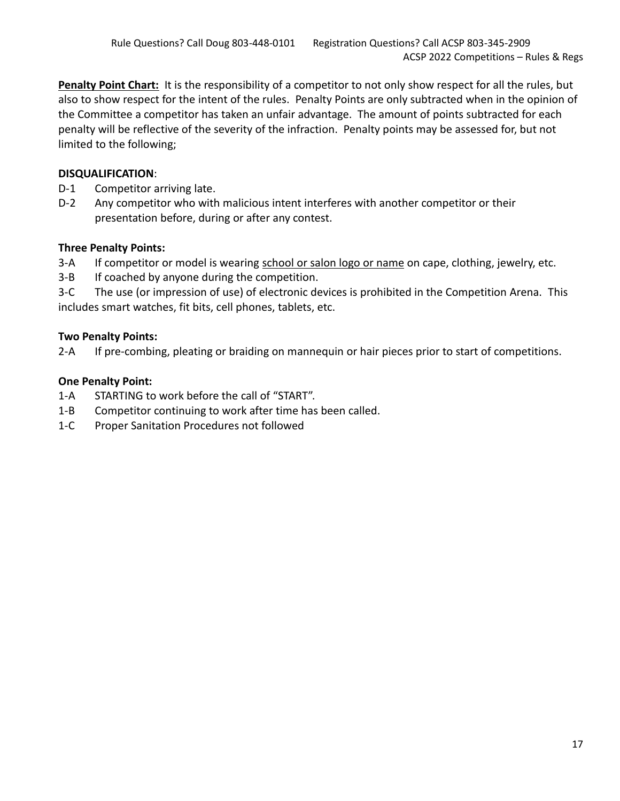**Penalty Point Chart:** It is the responsibility of a competitor to not only show respect for all the rules, but also to show respect for the intent of the rules. Penalty Points are only subtracted when in the opinion of the Committee a competitor has taken an unfair advantage. The amount of points subtracted for each penalty will be reflective of the severity of the infraction. Penalty points may be assessed for, but not limited to the following;

# **DISQUALIFICATION**:

- D-1 Competitor arriving late.
- D-2 Any competitor who with malicious intent interferes with another competitor or their presentation before, during or after any contest.

## **Three Penalty Points:**

- 3-A If competitor or model is wearing school or salon logo or name on cape, clothing, jewelry, etc.
- 3-B If coached by anyone during the competition.

3-C The use (or impression of use) of electronic devices is prohibited in the Competition Arena. This includes smart watches, fit bits, cell phones, tablets, etc.

## **Two Penalty Points:**

2-A If pre-combing, pleating or braiding on mannequin or hair pieces prior to start of competitions.

- 1-A STARTING to work before the call of "START".
- 1-B Competitor continuing to work after time has been called.
- 1-C Proper Sanitation Procedures not followed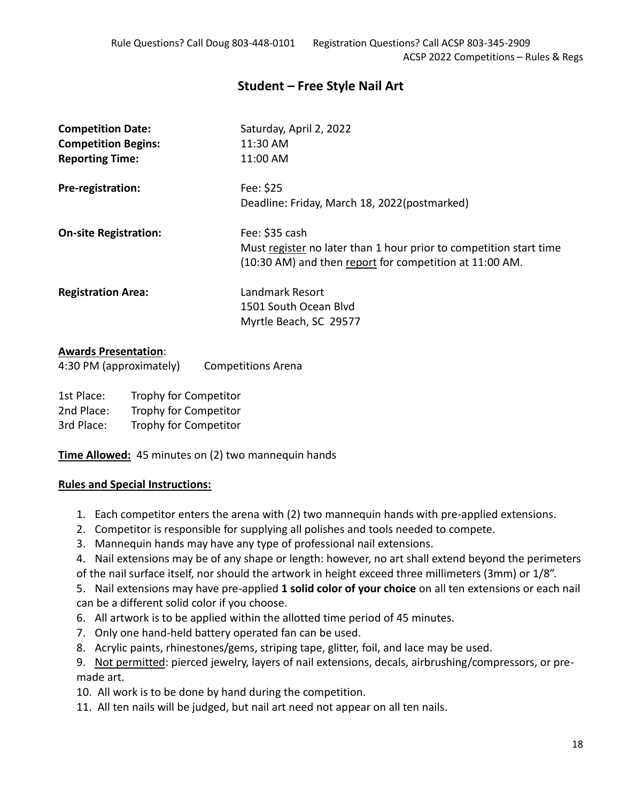# **Student – Free Style Nail Art**

| <b>Competition Date:</b><br><b>Competition Begins:</b><br><b>Reporting Time:</b> | Saturday, April 2, 2022<br>11:30 AM<br>11:00 AM                                                                                                 |
|----------------------------------------------------------------------------------|-------------------------------------------------------------------------------------------------------------------------------------------------|
| Pre-registration:                                                                | Fee: \$25<br>Deadline: Friday, March 18, 2022(postmarked)                                                                                       |
| <b>On-site Registration:</b>                                                     | Fee: \$35 cash<br>Must register no later than 1 hour prior to competition start time<br>(10:30 AM) and then report for competition at 11:00 AM. |
| <b>Registration Area:</b>                                                        | Landmark Resort<br>1501 South Ocean Blyd<br>Myrtle Beach, SC 29577                                                                              |

# **Awards Presentation**:

| 4:30 PM (approximately) | <b>Competitions Arena</b> |
|-------------------------|---------------------------|
|-------------------------|---------------------------|

1st Place: Trophy for Competitor

2nd Place: Trophy for Competitor

3rd Place: Trophy for Competitor

**Time Allowed:** 45 minutes on (2) two mannequin hands

## **Rules and Special Instructions:**

- 1. Each competitor enters the arena with (2) two mannequin hands with pre-applied extensions.
- 2. Competitor is responsible for supplying all polishes and tools needed to compete.
- 3. Mannequin hands may have any type of professional nail extensions.
- 4. Nail extensions may be of any shape or length: however, no art shall extend beyond the perimeters of the nail surface itself, nor should the artwork in height exceed three millimeters (3mm) or 1/8".

5. Nail extensions may have pre-applied **1 solid color of your choice** on all ten extensions or each nail can be a different solid color if you choose.

- 6. All artwork is to be applied within the allotted time period of 45 minutes.
- 7. Only one hand-held battery operated fan can be used.
- 8. Acrylic paints, rhinestones/gems, striping tape, glitter, foil, and lace may be used.

9. Not permitted: pierced jewelry, layers of nail extensions, decals, airbrushing/compressors, or premade art.

10. All work is to be done by hand during the competition.

11. All ten nails will be judged, but nail art need not appear on all ten nails.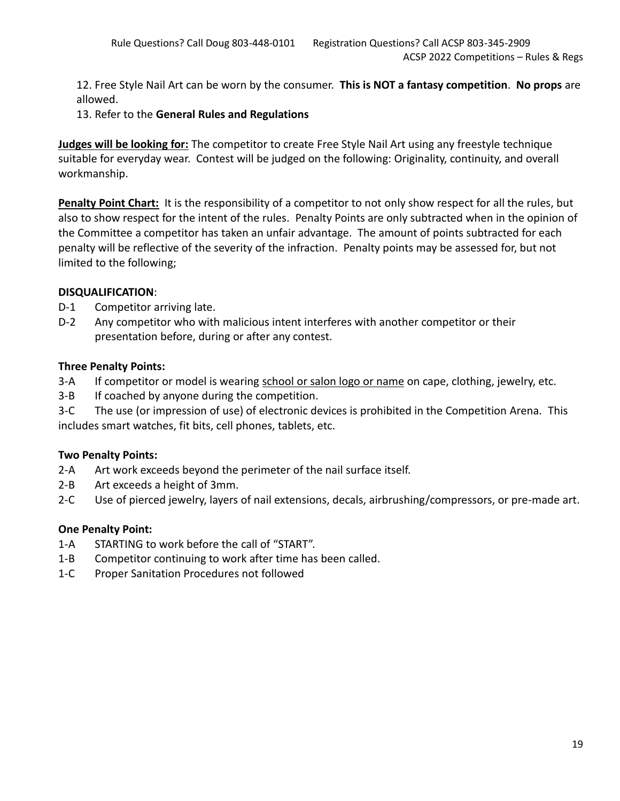12. Free Style Nail Art can be worn by the consumer. **This is NOT a fantasy competition**. **No props** are allowed.

13. Refer to the **General Rules and Regulations**

**Judges will be looking for:** The competitor to create Free Style Nail Art using any freestyle technique suitable for everyday wear. Contest will be judged on the following: Originality, continuity, and overall workmanship.

**Penalty Point Chart:** It is the responsibility of a competitor to not only show respect for all the rules, but also to show respect for the intent of the rules. Penalty Points are only subtracted when in the opinion of the Committee a competitor has taken an unfair advantage. The amount of points subtracted for each penalty will be reflective of the severity of the infraction. Penalty points may be assessed for, but not limited to the following;

## **DISQUALIFICATION**:

- D-1 Competitor arriving late.
- D-2 Any competitor who with malicious intent interferes with another competitor or their presentation before, during or after any contest.

## **Three Penalty Points:**

- 3-A If competitor or model is wearing school or salon logo or name on cape, clothing, jewelry, etc.
- 3-B If coached by anyone during the competition.
- 3-C The use (or impression of use) of electronic devices is prohibited in the Competition Arena. This includes smart watches, fit bits, cell phones, tablets, etc.

# **Two Penalty Points:**

- 2-A Art work exceeds beyond the perimeter of the nail surface itself.
- 2-B Art exceeds a height of 3mm.
- 2-C Use of pierced jewelry, layers of nail extensions, decals, airbrushing/compressors, or pre-made art.

- 1-A STARTING to work before the call of "START".
- 1-B Competitor continuing to work after time has been called.
- 1-C Proper Sanitation Procedures not followed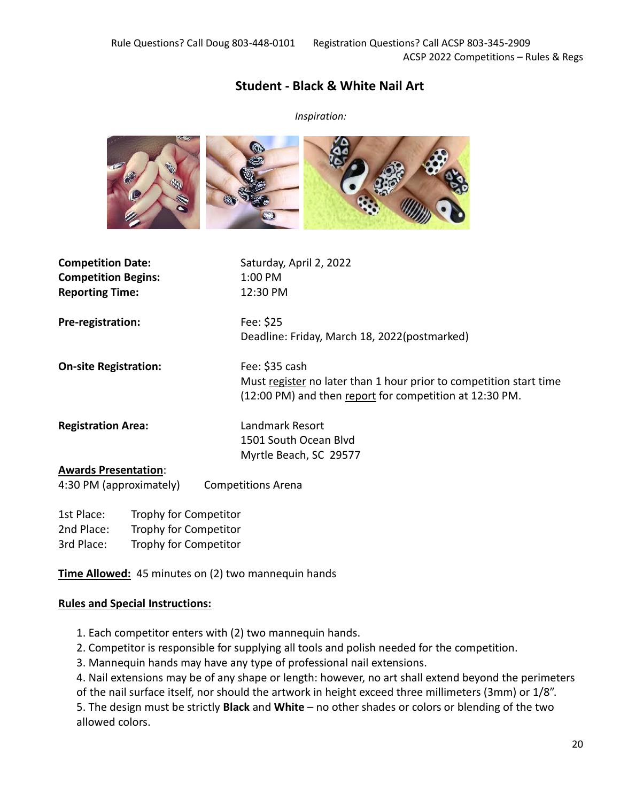# **Student - Black & White Nail Art**

*Inspiration:*



| <b>Competition Date:</b><br><b>Competition Begins:</b><br><b>Reporting Time:</b> | Saturday, April 2, 2022<br>1:00 PM<br>12:30 PM                                                                                                  |
|----------------------------------------------------------------------------------|-------------------------------------------------------------------------------------------------------------------------------------------------|
| Pre-registration:                                                                | Fee: \$25<br>Deadline: Friday, March 18, 2022(postmarked)                                                                                       |
| <b>On-site Registration:</b>                                                     | Fee: \$35 cash<br>Must register no later than 1 hour prior to competition start time<br>(12:00 PM) and then report for competition at 12:30 PM. |
| <b>Registration Area:</b>                                                        | Landmark Resort<br>1501 South Ocean Blyd<br>Myrtle Beach, SC 29577                                                                              |
| <b>Awards Presentation:</b><br>4:30 PM (approximately)                           | <b>Competitions Arena</b>                                                                                                                       |

1st Place: Trophy for Competitor 2nd Place: Trophy for Competitor 3rd Place: Trophy for Competitor

**Time Allowed:** 45 minutes on (2) two mannequin hands

## **Rules and Special Instructions:**

- 1. Each competitor enters with (2) two mannequin hands.
- 2. Competitor is responsible for supplying all tools and polish needed for the competition.
- 3. Mannequin hands may have any type of professional nail extensions.

4. Nail extensions may be of any shape or length: however, no art shall extend beyond the perimeters of the nail surface itself, nor should the artwork in height exceed three millimeters (3mm) or 1/8".

5. The design must be strictly **Black** and **White** – no other shades or colors or blending of the two allowed colors.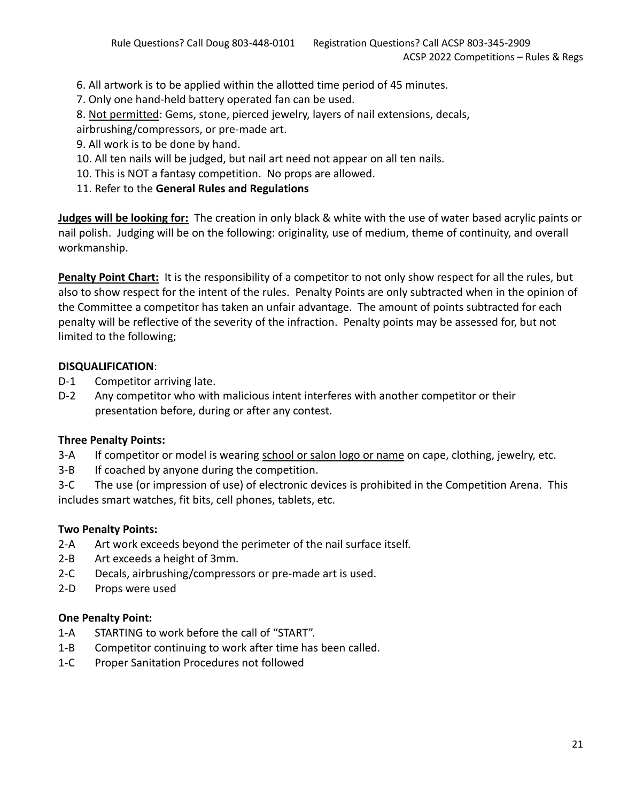6. All artwork is to be applied within the allotted time period of 45 minutes.

- 7. Only one hand-held battery operated fan can be used.
- 8. Not permitted: Gems, stone, pierced jewelry, layers of nail extensions, decals,
- airbrushing/compressors, or pre-made art.
- 9. All work is to be done by hand.
- 10. All ten nails will be judged, but nail art need not appear on all ten nails.
- 10. This is NOT a fantasy competition. No props are allowed.
- 11. Refer to the **General Rules and Regulations**

**Judges will be looking for:** The creation in only black & white with the use of water based acrylic paints or nail polish. Judging will be on the following: originality, use of medium, theme of continuity, and overall workmanship.

**Penalty Point Chart:** It is the responsibility of a competitor to not only show respect for all the rules, but also to show respect for the intent of the rules. Penalty Points are only subtracted when in the opinion of the Committee a competitor has taken an unfair advantage. The amount of points subtracted for each penalty will be reflective of the severity of the infraction. Penalty points may be assessed for, but not limited to the following;

## **DISQUALIFICATION**:

- D-1 Competitor arriving late.
- D-2 Any competitor who with malicious intent interferes with another competitor or their presentation before, during or after any contest.

# **Three Penalty Points:**

- 3-A If competitor or model is wearing school or salon logo or name on cape, clothing, jewelry, etc.
- 3-B If coached by anyone during the competition.

3-C The use (or impression of use) of electronic devices is prohibited in the Competition Arena. This includes smart watches, fit bits, cell phones, tablets, etc.

# **Two Penalty Points:**

- 2-A Art work exceeds beyond the perimeter of the nail surface itself.
- 2-B Art exceeds a height of 3mm.
- 2-C Decals, airbrushing/compressors or pre-made art is used.
- 2-D Props were used

- 1-A STARTING to work before the call of "START".
- 1-B Competitor continuing to work after time has been called.
- 1-C Proper Sanitation Procedures not followed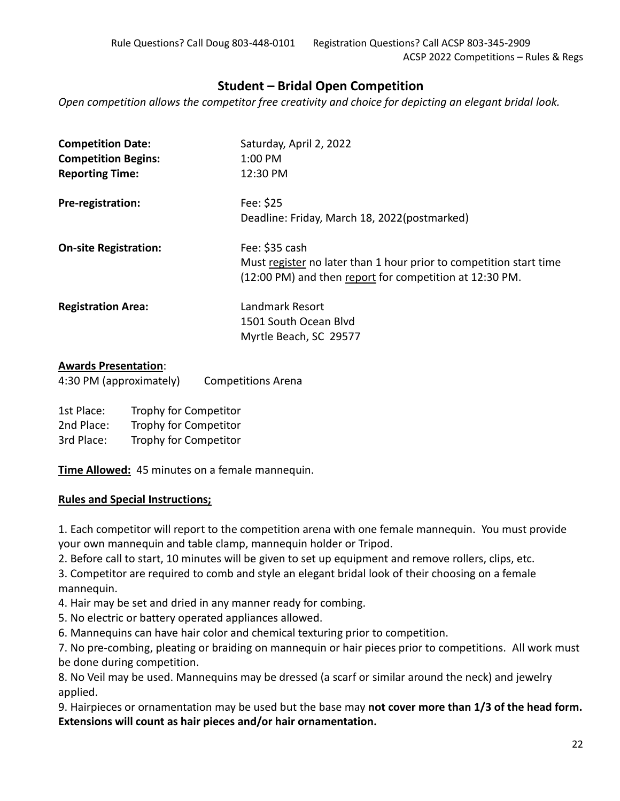# **Student – Bridal Open Competition**

*Open competition allows the competitor free creativity and choice for depicting an elegant bridal look.*

| <b>Competition Date:</b>     | Saturday, April 2, 2022                                            |
|------------------------------|--------------------------------------------------------------------|
| <b>Competition Begins:</b>   | 1:00 PM                                                            |
| <b>Reporting Time:</b>       | 12:30 PM                                                           |
| Pre-registration:            | Fee: \$25                                                          |
|                              | Deadline: Friday, March 18, 2022(postmarked)                       |
| <b>On-site Registration:</b> | Fee: \$35 cash                                                     |
|                              | Must register no later than 1 hour prior to competition start time |
|                              | (12:00 PM) and then report for competition at 12:30 PM.            |
| <b>Registration Area:</b>    | Landmark Resort                                                    |
|                              | 1501 South Ocean Blyd                                              |
|                              | Myrtle Beach, SC 29577                                             |
|                              |                                                                    |

## **Awards Presentation**:

| 4:30 PM (approximately) | <b>Competitions Arena</b> |
|-------------------------|---------------------------|
|-------------------------|---------------------------|

1st Place: Trophy for Competitor 2nd Place: Trophy for Competitor 3rd Place: Trophy for Competitor

**Time Allowed:** 45 minutes on a female mannequin.

## **Rules and Special Instructions;**

1. Each competitor will report to the competition arena with one female mannequin. You must provide your own mannequin and table clamp, mannequin holder or Tripod.

2. Before call to start, 10 minutes will be given to set up equipment and remove rollers, clips, etc.

3. Competitor are required to comb and style an elegant bridal look of their choosing on a female mannequin.

4. Hair may be set and dried in any manner ready for combing.

5. No electric or battery operated appliances allowed.

6. Mannequins can have hair color and chemical texturing prior to competition.

7. No pre-combing, pleating or braiding on mannequin or hair pieces prior to competitions. All work must be done during competition.

8. No Veil may be used. Mannequins may be dressed (a scarf or similar around the neck) and jewelry applied.

9. Hairpieces or ornamentation may be used but the base may **not cover more than 1/3 of the head form. Extensions will count as hair pieces and/or hair ornamentation.**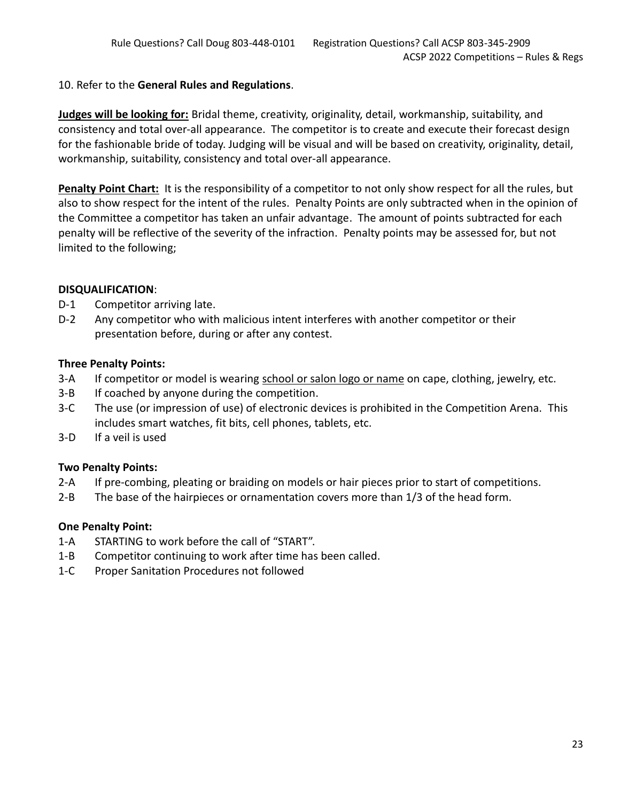## 10. Refer to the **General Rules and Regulations**.

**Judges will be looking for:** Bridal theme, creativity, originality, detail, workmanship, suitability, and consistency and total over-all appearance. The competitor is to create and execute their forecast design for the fashionable bride of today. Judging will be visual and will be based on creativity, originality, detail, workmanship, suitability, consistency and total over-all appearance.

**Penalty Point Chart:** It is the responsibility of a competitor to not only show respect for all the rules, but also to show respect for the intent of the rules. Penalty Points are only subtracted when in the opinion of the Committee a competitor has taken an unfair advantage. The amount of points subtracted for each penalty will be reflective of the severity of the infraction. Penalty points may be assessed for, but not limited to the following;

## **DISQUALIFICATION**:

- D-1 Competitor arriving late.
- D-2 Any competitor who with malicious intent interferes with another competitor or their presentation before, during or after any contest.

## **Three Penalty Points:**

- 3-A If competitor or model is wearing school or salon logo or name on cape, clothing, jewelry, etc.
- 3-B If coached by anyone during the competition.
- 3-C The use (or impression of use) of electronic devices is prohibited in the Competition Arena. This includes smart watches, fit bits, cell phones, tablets, etc.
- 3-D If a veil is used

# **Two Penalty Points:**

- 2-A If pre-combing, pleating or braiding on models or hair pieces prior to start of competitions.
- 2-B The base of the hairpieces or ornamentation covers more than 1/3 of the head form.

- 1-A STARTING to work before the call of "START".
- 1-B Competitor continuing to work after time has been called.
- 1-C Proper Sanitation Procedures not followed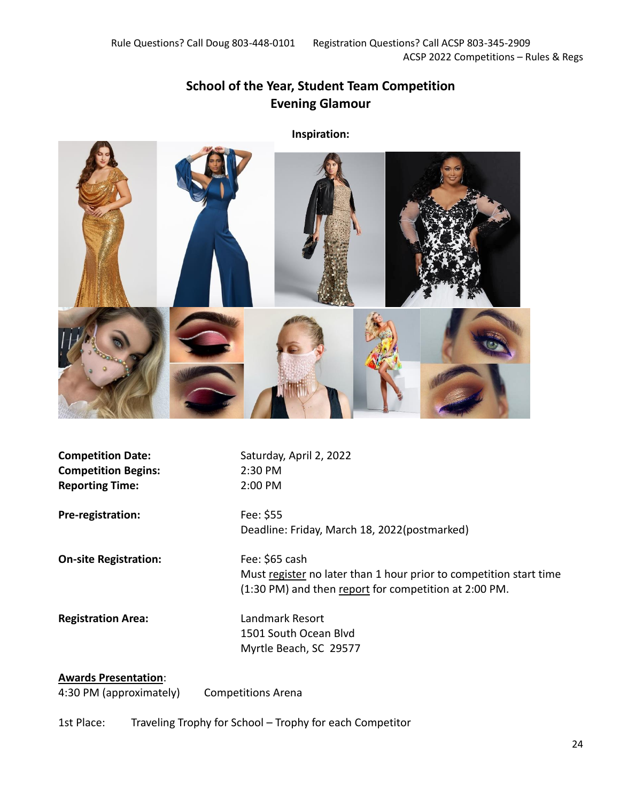# **School of the Year, Student Team Competition Evening Glamour**

**Inspiration:**



**Competition Date:** Saturday, April 2, 2022 **Competition Begins:** 2:30 PM **Reporting Time:** 2:00 PM

**Pre-registration:** Fee: \$55

**On-site Registration:** Fee: \$65 cash

Deadline: Friday, March 18, 2022(postmarked)

Must register no later than 1 hour prior to competition start time (1:30 PM) and then report for competition at 2:00 PM.

**Registration Area:** Landmark Resort

1501 South Ocean Blvd Myrtle Beach, SC 29577

### **Awards Presentation**:

4:30 PM (approximately) Competitions Arena

1st Place: Traveling Trophy for School – Trophy for each Competitor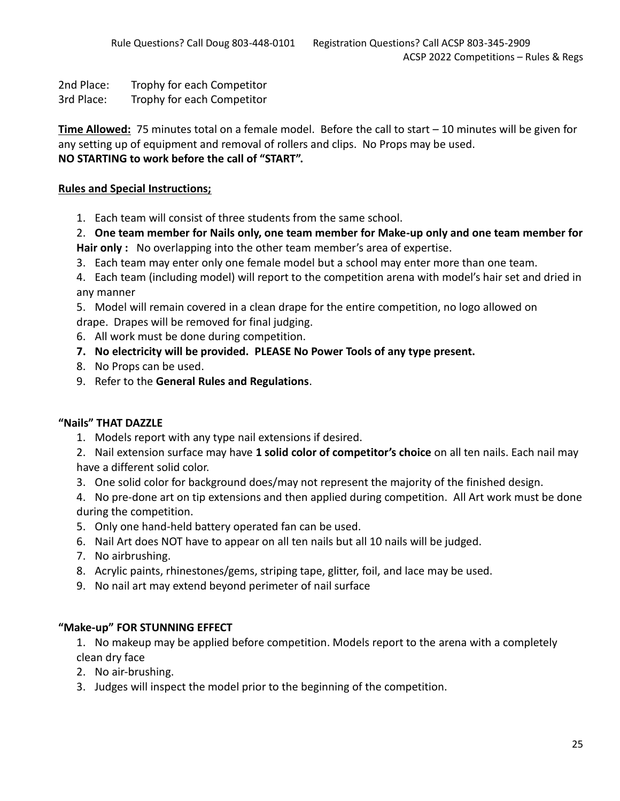2nd Place: Trophy for each Competitor

3rd Place: Trophy for each Competitor

**Time Allowed:** 75 minutes total on a female model. Before the call to start – 10 minutes will be given for any setting up of equipment and removal of rollers and clips. No Props may be used. **NO STARTING to work before the call of "START".**

## **Rules and Special Instructions;**

1. Each team will consist of three students from the same school.

2. **One team member for Nails only, one team member for Make-up only and one team member for** 

**Hair only :** No overlapping into the other team member's area of expertise.

3. Each team may enter only one female model but a school may enter more than one team.

4. Each team (including model) will report to the competition arena with model's hair set and dried in any manner

5. Model will remain covered in a clean drape for the entire competition, no logo allowed on drape. Drapes will be removed for final judging.

- 6. All work must be done during competition.
- **7. No electricity will be provided. PLEASE No Power Tools of any type present.**
- 8. No Props can be used.
- 9. Refer to the **General Rules and Regulations**.

## **"Nails" THAT DAZZLE**

1. Models report with any type nail extensions if desired.

2. Nail extension surface may have **1 solid color of competitor's choice** on all ten nails. Each nail may have a different solid color.

3. One solid color for background does/may not represent the majority of the finished design.

4. No pre-done art on tip extensions and then applied during competition. All Art work must be done during the competition.

- 5. Only one hand-held battery operated fan can be used.
- 6. Nail Art does NOT have to appear on all ten nails but all 10 nails will be judged.
- 7. No airbrushing.
- 8. Acrylic paints, rhinestones/gems, striping tape, glitter, foil, and lace may be used.
- 9. No nail art may extend beyond perimeter of nail surface

## **"Make-up" FOR STUNNING EFFECT**

1. No makeup may be applied before competition. Models report to the arena with a completely clean dry face

- 2. No air-brushing.
- 3. Judges will inspect the model prior to the beginning of the competition.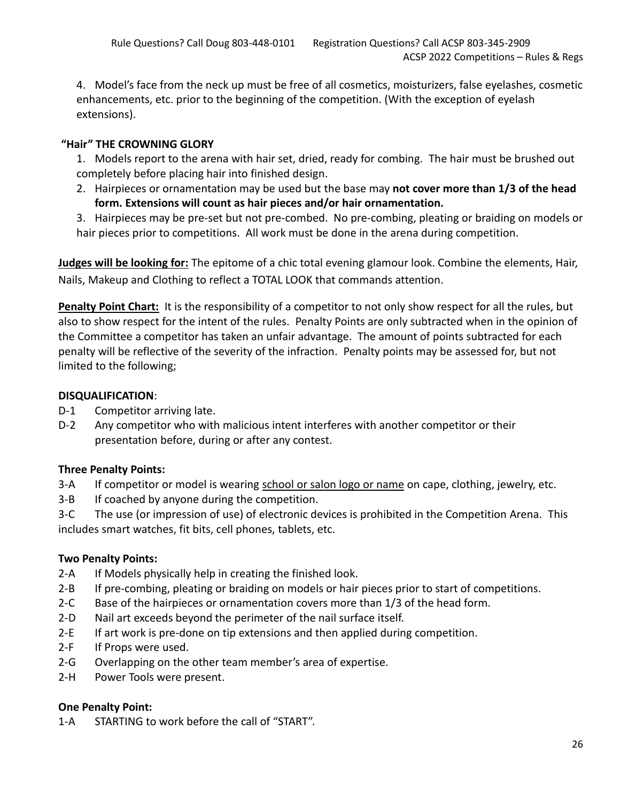4. Model's face from the neck up must be free of all cosmetics, moisturizers, false eyelashes, cosmetic enhancements, etc. prior to the beginning of the competition. (With the exception of eyelash extensions).

# **"Hair" THE CROWNING GLORY**

1. Models report to the arena with hair set, dried, ready for combing. The hair must be brushed out completely before placing hair into finished design.

2. Hairpieces or ornamentation may be used but the base may **not cover more than 1/3 of the head form. Extensions will count as hair pieces and/or hair ornamentation.**

3. Hairpieces may be pre-set but not pre-combed. No pre-combing, pleating or braiding on models or hair pieces prior to competitions. All work must be done in the arena during competition.

**Judges will be looking for:** The epitome of a chic total evening glamour look. Combine the elements, Hair, Nails, Makeup and Clothing to reflect a TOTAL LOOK that commands attention.

**Penalty Point Chart:** It is the responsibility of a competitor to not only show respect for all the rules, but also to show respect for the intent of the rules. Penalty Points are only subtracted when in the opinion of the Committee a competitor has taken an unfair advantage. The amount of points subtracted for each penalty will be reflective of the severity of the infraction. Penalty points may be assessed for, but not limited to the following;

# **DISQUALIFICATION**:

- D-1 Competitor arriving late.
- D-2 Any competitor who with malicious intent interferes with another competitor or their presentation before, during or after any contest.

# **Three Penalty Points:**

- 3-A If competitor or model is wearing school or salon logo or name on cape, clothing, jewelry, etc.
- 3-B If coached by anyone during the competition.
- 3-C The use (or impression of use) of electronic devices is prohibited in the Competition Arena. This includes smart watches, fit bits, cell phones, tablets, etc.

# **Two Penalty Points:**

- 2-A If Models physically help in creating the finished look.
- 2-B If pre-combing, pleating or braiding on models or hair pieces prior to start of competitions.
- 2-C Base of the hairpieces or ornamentation covers more than 1/3 of the head form.
- 2-D Nail art exceeds beyond the perimeter of the nail surface itself.
- 2-E If art work is pre-done on tip extensions and then applied during competition.
- 2-F If Props were used.
- 2-G Overlapping on the other team member's area of expertise.
- 2-H Power Tools were present.

# **One Penalty Point:**

1-A STARTING to work before the call of "START".